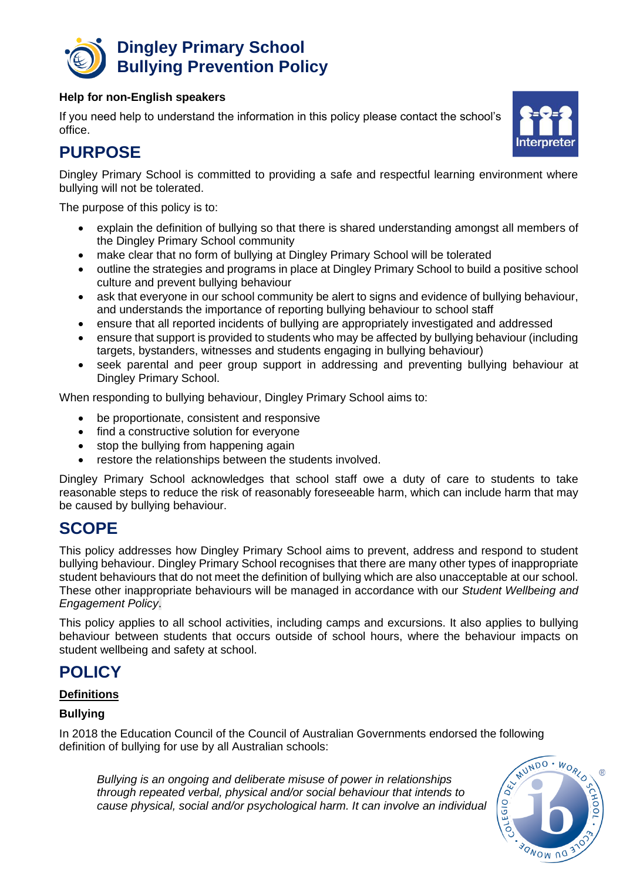

#### **Help for non-English speakers**

If you need help to understand the information in this policy please contact the school's office.



Dingley Primary School is committed to providing a safe and respectful learning environment where bullying will not be tolerated.

The purpose of this policy is to:

- explain the definition of bullying so that there is shared understanding amongst all members of the Dingley Primary School community
- make clear that no form of bullying at Dingley Primary School will be tolerated
- outline the strategies and programs in place at Dingley Primary School to build a positive school culture and prevent bullying behaviour
- ask that everyone in our school community be alert to signs and evidence of bullying behaviour, and understands the importance of reporting bullying behaviour to school staff
- ensure that all reported incidents of bullying are appropriately investigated and addressed
- ensure that support is provided to students who may be affected by bullying behaviour (including targets, bystanders, witnesses and students engaging in bullying behaviour)
- seek parental and peer group support in addressing and preventing bullying behaviour at Dingley Primary School.

When responding to bullying behaviour, Dingley Primary School aims to:

- be proportionate, consistent and responsive
- find a constructive solution for everyone
- stop the bullying from happening again
- restore the relationships between the students involved.

Dingley Primary School acknowledges that school staff owe a duty of care to students to take reasonable steps to reduce the risk of reasonably foreseeable harm, which can include harm that may be caused by bullying behaviour.

### **SCOPE**

This policy addresses how Dingley Primary School aims to prevent, address and respond to student bullying behaviour. Dingley Primary School recognises that there are many other types of inappropriate student behaviours that do not meet the definition of bullying which are also unacceptable at our school. These other inappropriate behaviours will be managed in accordance with our *Student Wellbeing and Engagement Policy*.

This policy applies to all school activities, including camps and excursions. It also applies to bullying behaviour between students that occurs outside of school hours, where the behaviour impacts on student wellbeing and safety at school.

### **POLICY**

### **Definitions**

### **Bullying**

In 2018 the Education Council of the Council of Australian Governments endorsed the following definition of bullying for use by all Australian schools:

*Bullying is an ongoing and deliberate misuse of power in relationships through repeated verbal, physical and/or social behaviour that intends to cause physical, social and/or psychological harm. It can involve an individual* 



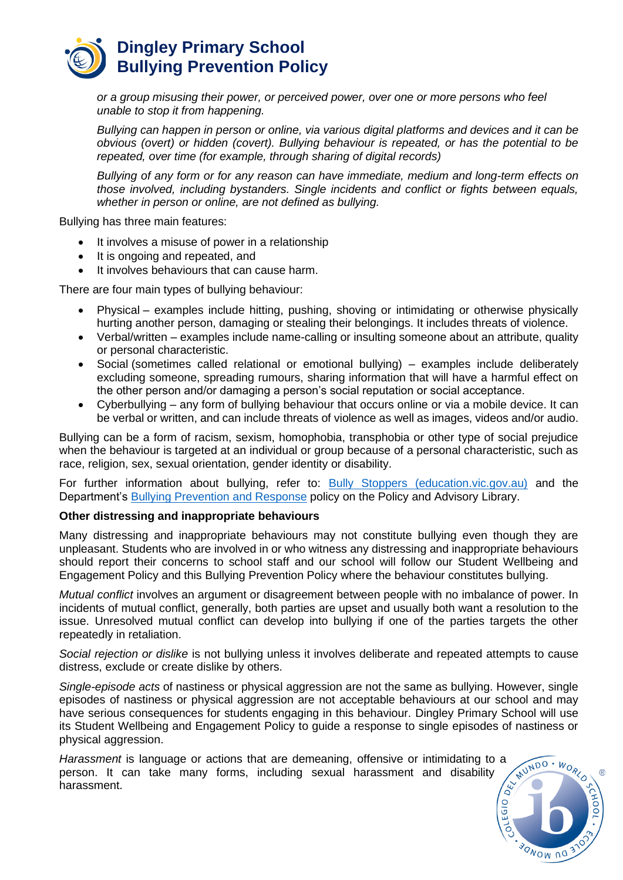

*or a group misusing their power, or perceived power, over one or more persons who feel unable to stop it from happening.*

*Bullying can happen in person or online, via various digital platforms and devices and it can be obvious (overt) or hidden (covert). Bullying behaviour is repeated, or has the potential to be repeated, over time (for example, through sharing of digital records)*

*Bullying of any form or for any reason can have immediate, medium and long-term effects on those involved, including bystanders. Single incidents and conflict or fights between equals, whether in person or online, are not defined as bullying.* 

Bullying has three main features:

- It involves a misuse of power in a relationship
- It is ongoing and repeated, and
- It involves behaviours that can cause harm.

There are four main types of bullying behaviour:

- Physical examples include hitting, pushing, shoving or intimidating or otherwise physically hurting another person, damaging or stealing their belongings. It includes threats of violence.
- Verbal/written examples include name-calling or insulting someone about an attribute, quality or personal characteristic.
- Social (sometimes called relational or emotional bullying) examples include deliberately excluding someone, spreading rumours, sharing information that will have a harmful effect on the other person and/or damaging a person's social reputation or social acceptance.
- Cyberbullying any form of bullying behaviour that occurs online or via a mobile device. It can be verbal or written, and can include threats of violence as well as images, videos and/or audio.

Bullying can be a form of racism, sexism, homophobia, transphobia or other type of social prejudice when the behaviour is targeted at an individual or group because of a personal characteristic, such as race, religion, sex, sexual orientation, gender identity or disability.

For further information about bullying, refer to: [Bully Stoppers \(education.vic.gov.au\)](https://www.education.vic.gov.au/about/programs/bullystoppers/Pages/default.aspx) and the Department's [Bullying Prevention and Response](https://www2.education.vic.gov.au/pal/bullying-prevention-response/policy) policy on the Policy and Advisory Library.

#### **Other distressing and inappropriate behaviours**

Many distressing and inappropriate behaviours may not constitute bullying even though they are unpleasant. Students who are involved in or who witness any distressing and inappropriate behaviours should report their concerns to school staff and our school will follow our Student Wellbeing and Engagement Policy and this Bullying Prevention Policy where the behaviour constitutes bullying.

*Mutual conflict* involves an argument or disagreement between people with no imbalance of power. In incidents of mutual conflict, generally, both parties are upset and usually both want a resolution to the issue. Unresolved mutual conflict can develop into bullying if one of the parties targets the other repeatedly in retaliation.

*Social rejection or dislike* is not bullying unless it involves deliberate and repeated attempts to cause distress, exclude or create dislike by others.

*Single-episode acts* of nastiness or physical aggression are not the same as bullying. However, single episodes of nastiness or physical aggression are not acceptable behaviours at our school and may have serious consequences for students engaging in this behaviour. Dingley Primary School will use its Student Wellbeing and Engagement Policy to guide a response to single episodes of nastiness or physical aggression.

*Harassment* is language or actions that are demeaning, offensive or intimidating to a person. It can take many forms, including sexual harassment and disability harassment.

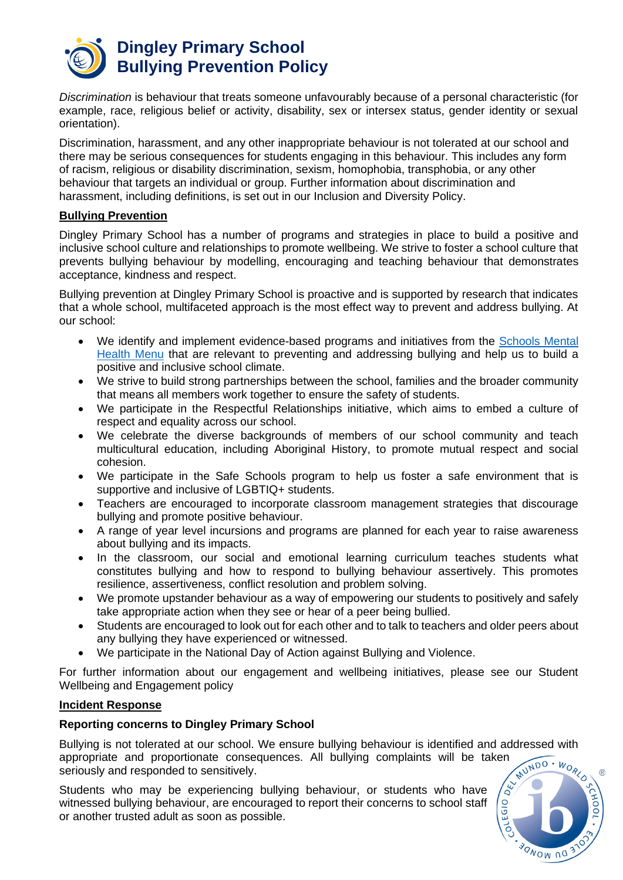

*Discrimination* is behaviour that treats someone unfavourably because of a personal characteristic (for example, race, religious belief or activity, disability, sex or intersex status, gender identity or sexual orientation).

Discrimination, harassment, and any other inappropriate behaviour is not tolerated at our school and there may be serious consequences for students engaging in this behaviour. This includes any form of racism, religious or disability discrimination, sexism, homophobia, transphobia, or any other behaviour that targets an individual or group. Further information about discrimination and harassment, including definitions, is set out in our Inclusion and Diversity Policy.

#### **Bullying Prevention**

Dingley Primary School has a number of programs and strategies in place to build a positive and inclusive school culture and relationships to promote wellbeing. We strive to foster a school culture that prevents bullying behaviour by modelling, encouraging and teaching behaviour that demonstrates acceptance, kindness and respect.

Bullying prevention at Dingley Primary School is proactive and is supported by research that indicates that a whole school, multifaceted approach is the most effect way to prevent and address bullying. At our school:

- We identify and implement evidence-based programs and initiatives from the [Schools Mental](https://www.education.vic.gov.au/school/teachers/health/mentalhealth/mental-health-menu/Pages/Menu.aspx?Redirect=1)  [Health Menu](https://www.education.vic.gov.au/school/teachers/health/mentalhealth/mental-health-menu/Pages/Menu.aspx?Redirect=1) that are relevant to preventing and addressing bullying and help us to build a positive and inclusive school climate.
- We strive to build strong partnerships between the school, families and the broader community that means all members work together to ensure the safety of students.
- We participate in the Respectful Relationships initiative, which aims to embed a culture of respect and equality across our school.
- We celebrate the diverse backgrounds of members of our school community and teach multicultural education, including Aboriginal History, to promote mutual respect and social cohesion.
- We participate in the Safe Schools program to help us foster a safe environment that is supportive and inclusive of LGBTIQ+ students.
- Teachers are encouraged to incorporate classroom management strategies that discourage bullying and promote positive behaviour.
- A range of year level incursions and programs are planned for each year to raise awareness about bullying and its impacts.
- In the classroom, our social and emotional learning curriculum teaches students what constitutes bullying and how to respond to bullying behaviour assertively. This promotes resilience, assertiveness, conflict resolution and problem solving.
- We promote upstander behaviour as a way of empowering our students to positively and safely take appropriate action when they see or hear of a peer being bullied.
- Students are encouraged to look out for each other and to talk to teachers and older peers about any bullying they have experienced or witnessed.
- We participate in the National Day of Action against Bullying and Violence.

For further information about our engagement and wellbeing initiatives, please see our Student Wellbeing and Engagement policy

#### **Incident Response**

#### **Reporting concerns to Dingley Primary School**

Bullying is not tolerated at our school. We ensure bullying behaviour is identified and addressed with appropriate and proportionate consequences. All bullying complaints will be taken seriously and responded to sensitively.

Students who may be experiencing bullying behaviour, or students who have witnessed bullying behaviour, are encouraged to report their concerns to school staff or another trusted adult as soon as possible.

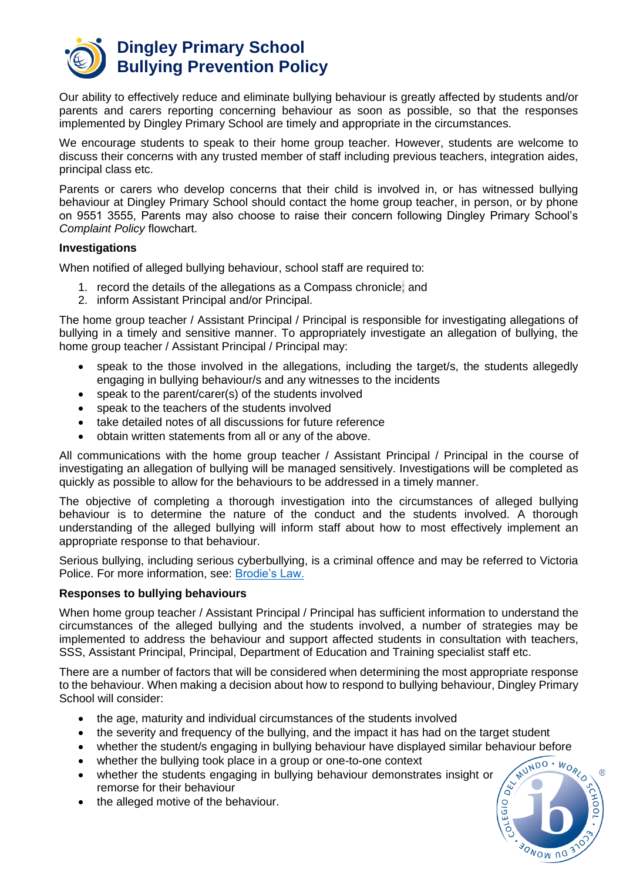

Our ability to effectively reduce and eliminate bullying behaviour is greatly affected by students and/or parents and carers reporting concerning behaviour as soon as possible, so that the responses implemented by Dingley Primary School are timely and appropriate in the circumstances.

We encourage students to speak to their home group teacher. However, students are welcome to discuss their concerns with any trusted member of staff including previous teachers, integration aides, principal class etc.

Parents or carers who develop concerns that their child is involved in, or has witnessed bullying behaviour at Dingley Primary School should contact the home group teacher, in person, or by phone on 9551 3555, Parents may also choose to raise their concern following Dingley Primary School's *Complaint Policy* flowchart.

#### **Investigations**

When notified of alleged bullying behaviour, school staff are required to:

- 1. record the details of the allegations as a Compass chronicle; and
- 2. inform Assistant Principal and/or Principal.

The home group teacher / Assistant Principal / Principal is responsible for investigating allegations of bullying in a timely and sensitive manner. To appropriately investigate an allegation of bullying, the home group teacher / Assistant Principal / Principal may:

- speak to the those involved in the allegations, including the target/s, the students allegedly engaging in bullying behaviour/s and any witnesses to the incidents
- speak to the parent/carer(s) of the students involved
- speak to the teachers of the students involved
- take detailed notes of all discussions for future reference
- obtain written statements from all or any of the above.

All communications with the home group teacher / Assistant Principal / Principal in the course of investigating an allegation of bullying will be managed sensitively. Investigations will be completed as quickly as possible to allow for the behaviours to be addressed in a timely manner.

The objective of completing a thorough investigation into the circumstances of alleged bullying behaviour is to determine the nature of the conduct and the students involved. A thorough understanding of the alleged bullying will inform staff about how to most effectively implement an appropriate response to that behaviour.

Serious bullying, including serious cyberbullying, is a criminal offence and may be referred to Victoria Police. For more information, see: [Brodie's Law.](http://www.education.vic.gov.au/about/programs/bullystoppers/Pages/advicesheetbrodieslaw.aspx)

#### **Responses to bullying behaviours**

When home group teacher / Assistant Principal / Principal has sufficient information to understand the circumstances of the alleged bullying and the students involved, a number of strategies may be implemented to address the behaviour and support affected students in consultation with teachers, SSS, Assistant Principal, Principal, Department of Education and Training specialist staff etc.

There are a number of factors that will be considered when determining the most appropriate response to the behaviour. When making a decision about how to respond to bullying behaviour, Dingley Primary School will consider:

- the age, maturity and individual circumstances of the students involved
- the severity and frequency of the bullying, and the impact it has had on the target student
- 
- whether the bullying took place in a group or one-to-one context
- whether the student/s engaging in bullying behaviour have displayed similar behaviour before<br>• whether the bullying took place in a group or one-to-one context<br>• whether the students engaging in bullying behaviour demon • whether the students engaging in bullying behaviour demonstrates insight or remorse for their behaviour
- the alleged motive of the behaviour.

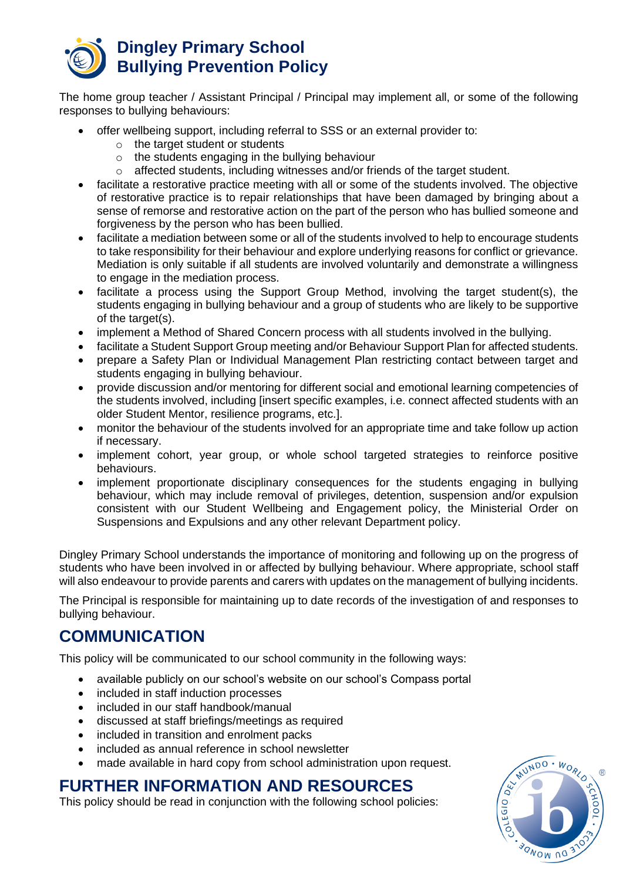

The home group teacher / Assistant Principal / Principal may implement all, or some of the following responses to bullying behaviours:

- offer wellbeing support, including referral to SSS or an external provider to:
	- $\circ$  the target student or students
	- o the students engaging in the bullying behaviour
	- $\circ$  affected students, including witnesses and/or friends of the target student.
- facilitate a restorative practice meeting with all or some of the students involved. The objective of restorative practice is to repair relationships that have been damaged by bringing about a sense of remorse and restorative action on the part of the person who has bullied someone and forgiveness by the person who has been bullied.
- facilitate a mediation between some or all of the students involved to help to encourage students to take responsibility for their behaviour and explore underlying reasons for conflict or grievance. Mediation is only suitable if all students are involved voluntarily and demonstrate a willingness to engage in the mediation process.
- facilitate a process using the Support Group Method, involving the target student(s), the students engaging in bullying behaviour and a group of students who are likely to be supportive of the target(s).
- implement a Method of Shared Concern process with all students involved in the bullying.
- facilitate a Student Support Group meeting and/or Behaviour Support Plan for affected students.
- prepare a Safety Plan or Individual Management Plan restricting contact between target and students engaging in bullying behaviour.
- provide discussion and/or mentoring for different social and emotional learning competencies of the students involved, including [insert specific examples, i.e. connect affected students with an older Student Mentor, resilience programs, etc.].
- monitor the behaviour of the students involved for an appropriate time and take follow up action if necessary.
- implement cohort, year group, or whole school targeted strategies to reinforce positive behaviours.
- implement proportionate disciplinary consequences for the students engaging in bullying behaviour, which may include removal of privileges, detention, suspension and/or expulsion consistent with our Student Wellbeing and Engagement policy, the Ministerial Order on Suspensions and Expulsions and any other relevant Department policy.

Dingley Primary School understands the importance of monitoring and following up on the progress of students who have been involved in or affected by bullying behaviour. Where appropriate, school staff will also endeavour to provide parents and carers with updates on the management of bullying incidents.

The Principal is responsible for maintaining up to date records of the investigation of and responses to bullying behaviour.

## **COMMUNICATION**

This policy will be communicated to our school community in the following ways:

- available publicly on our school's website on our school's Compass portal
- included in staff induction processes
- included in our staff handbook/manual
- discussed at staff briefings/meetings as required
- included in transition and enrolment packs
- included as annual reference in school newsletter
- made available in hard copy from school administration upon request.

### **FURTHER INFORMATION AND RESOURCES**

This policy should be read in conjunction with the following school policies:

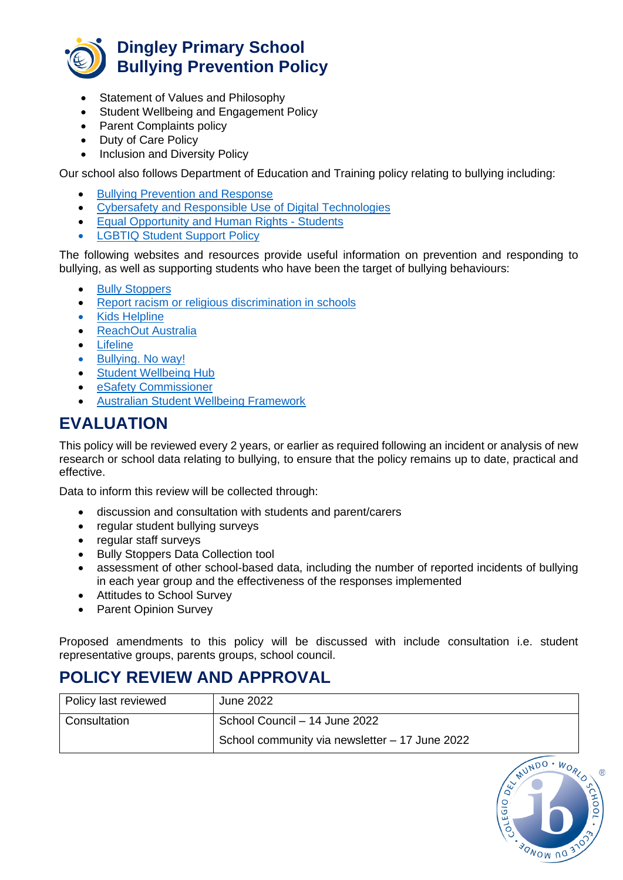

- Statement of Values and Philosophy
- Student Wellbeing and Engagement Policy
- Parent Complaints policy
- Duty of Care Policy
- Inclusion and Diversity Policy

Our school also follows Department of Education and Training policy relating to bullying including:

- [Bullying Prevention and Response](https://www2.education.vic.gov.au/pal/bullying-prevention-response/policy)
- [Cybersafety and Responsible Use of Digital Technologies](https://www2.education.vic.gov.au/pal/cybersafety/policy)
- [Equal Opportunity and Human Rights -](https://www2.education.vic.gov.au/pal/equal-opportunity-human-rights-students/policy) Students
- **[LGBTIQ Student Support Policy](https://www2.education.vic.gov.au/pal/lgbtiq-student-support/policy)**

The following websites and resources provide useful information on prevention and responding to bullying, as well as supporting students who have been the target of bullying behaviours:

- [Bully Stoppers](https://www.education.vic.gov.au/about/programs/bullystoppers/Pages/default.aspx)
- [Report racism or religious discrimination in schools](https://www.vic.gov.au/report-racism-or-religious-discrimination-schools)
- [Kids Helpline](https://kidshelpline.com.au/)
- [ReachOut Australia](https://au.reachout.com/)
- [Lifeline](https://www.lifeline.org.au/)
- [Bullying. No way!](https://bullyingnoway.gov.au/)
- [Student Wellbeing Hub](https://www.studentwellbeinghub.edu.au/)
- [eSafety Commissioner](https://www.esafety.gov.au/)
- [Australian Student Wellbeing Framework](https://studentwellbeinghub.edu.au/educators/resources/australian-student-wellbeing-framework/)

## **EVALUATION**

This policy will be reviewed every 2 years, or earlier as required following an incident or analysis of new research or school data relating to bullying, to ensure that the policy remains up to date, practical and effective.

Data to inform this review will be collected through:

- discussion and consultation with students and parent/carers
- regular student bullying surveys
- regular staff surveys
- Bully Stoppers Data Collection tool
- assessment of other school-based data, including the number of reported incidents of bullying in each year group and the effectiveness of the responses implemented
- Attitudes to School Survey
- Parent Opinion Survey

Proposed amendments to this policy will be discussed with include consultation i.e. student representative groups, parents groups, school council.

# **POLICY REVIEW AND APPROVAL**

| Policy last reviewed | June 2022                                      |
|----------------------|------------------------------------------------|
| Consultation         | School Council - 14 June 2022                  |
|                      | School community via newsletter - 17 June 2022 |